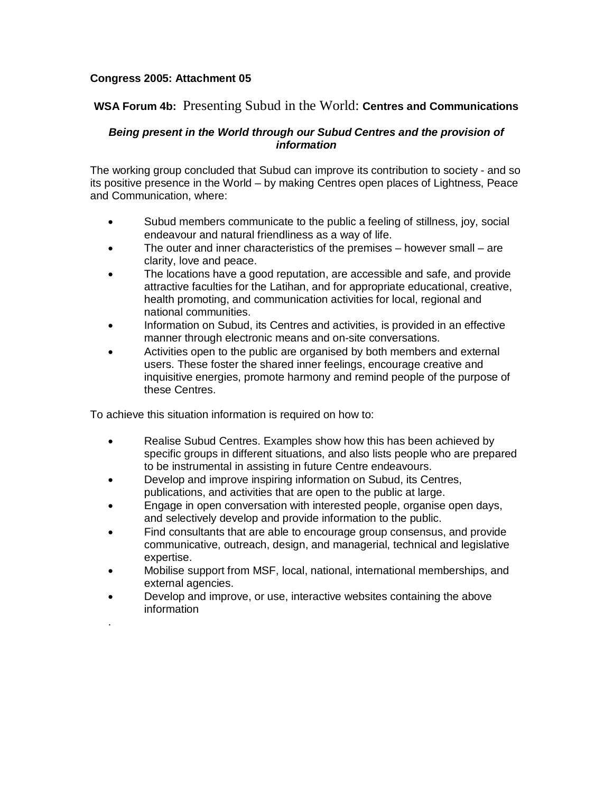## **Congress 2005: Attachment 05**

## **WSA Forum 4b:** Presenting Subud in the World: **Centres and Communications**

## **Being present in the World through our Subud Centres and the provision of information**

The working group concluded that Subud can improve its contribution to society - and so its positive presence in the World – by making Centres open places of Lightness, Peace and Communication, where:

- Subud members communicate to the public a feeling of stillness, joy, social endeavour and natural friendliness as a way of life.
- The outer and inner characteristics of the premises however small are clarity, love and peace.
- The locations have a good reputation, are accessible and safe, and provide attractive faculties for the Latihan, and for appropriate educational, creative, health promoting, and communication activities for local, regional and national communities.
- Information on Subud, its Centres and activities, is provided in an effective manner through electronic means and on-site conversations.
- Activities open to the public are organised by both members and external users. These foster the shared inner feelings, encourage creative and inquisitive energies, promote harmony and remind people of the purpose of these Centres.

To achieve this situation information is required on how to:

.

- Realise Subud Centres. Examples show how this has been achieved by specific groups in different situations, and also lists people who are prepared to be instrumental in assisting in future Centre endeavours.
- Develop and improve inspiring information on Subud, its Centres, publications, and activities that are open to the public at large.
- Engage in open conversation with interested people, organise open days, and selectively develop and provide information to the public.
- Find consultants that are able to encourage group consensus, and provide communicative, outreach, design, and managerial, technical and legislative expertise.
- Mobilise support from MSF, local, national, international memberships, and external agencies.
- Develop and improve, or use, interactive websites containing the above information